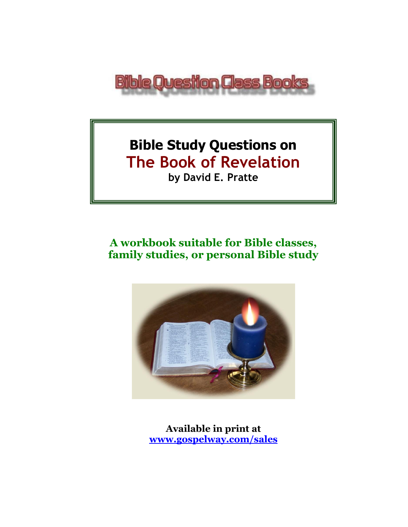

# **Bible Study Questions on The Book of Revelation by David E. Pratte**

# **A workbook suitable for Bible classes, family studies, or personal Bible study**



**Available in print at [www.gospelway.com/sales](https://www.gospelway.com/sales)**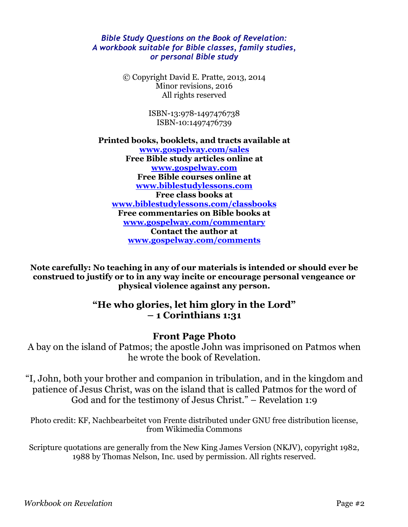#### *Bible Study Questions on the Book of Revelation: A workbook suitable for Bible classes, family studies, or personal Bible study*

© Copyright David E. Pratte, 2013, 2014 Minor revisions, 2016 All rights reserved

> ISBN-13:978-1497476738 ISBN-10:1497476739

**Printed books, booklets, and tracts available at [www.gospelway.com/sales](https://www.gospelway.com/sales) Free Bible study articles online at [www.gospelway.com](http://www.gospelway.com/) Free Bible courses online at [www.biblestudylessons.com](http://www.biblestudylessons.com/) Free class books at [www.biblestudylessons.com/classbooks](http://www.biblestudylessons.com/classbooks) Free commentaries on Bible books at [www.gospelway.com/commentary](http://www.gospelway.com/commentary) Contact the author at [www.gospelway.com/comments](http://www.gospelway.com/comments)**

**Note carefully: No teaching in any of our materials is intended or should ever be construed to justify or to in any way incite or encourage personal vengeance or physical violence against any person.**

#### **"He who glories, let him glory in the Lord" – 1 Corinthians 1:31**

#### **Front Page Photo**

A bay on the island of Patmos; the apostle John was imprisoned on Patmos when he wrote the book of Revelation.

"I, John, both your brother and companion in tribulation, and in the kingdom and patience of Jesus Christ, was on the island that is called Patmos for the word of God and for the testimony of Jesus Christ." – Revelation 1:9

Photo credit: KF, Nachbearbeitet von Frente distributed under GNU free distribution license, from Wikimedia Commons

Scripture quotations are generally from the New King James Version (NKJV), copyright 1982, 1988 by Thomas Nelson, Inc. used by permission. All rights reserved.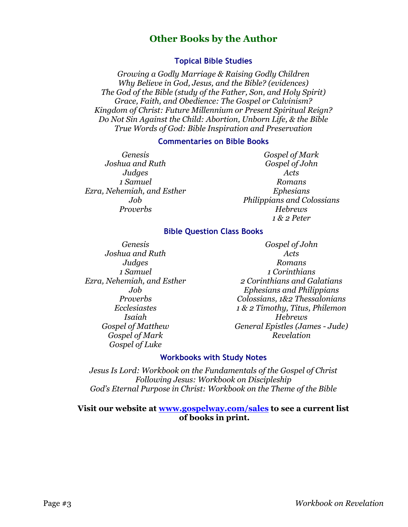#### **Other Books by the Author**

#### **Topical Bible Studies**

*Growing a Godly Marriage & Raising Godly Children Why Believe in God, Jesus, and the Bible? (evidences) The God of the Bible (study of the Father, Son, and Holy Spirit) Grace, Faith, and Obedience: The Gospel or Calvinism? Kingdom of Christ: Future Millennium or Present Spiritual Reign? Do Not Sin Against the Child: Abortion, Unborn Life, & the Bible True Words of God: Bible Inspiration and Preservation*

#### **Commentaries on Bible Books**

*Genesis Joshua and Ruth Judges 1 Samuel Ezra, Nehemiah, and Esther Job Proverbs*

*Gospel of Mark Gospel of John Acts Romans Ephesians Philippians and Colossians Hebrews 1 & 2 Peter*

#### **Bible Question Class Books**

*Genesis Joshua and Ruth Judges 1 Samuel Ezra, Nehemiah, and Esther Job Proverbs Ecclesiastes Isaiah Gospel of Matthew Gospel of Mark Gospel of Luke*

*Gospel of John Acts Romans 1 Corinthians 2 Corinthians and Galatians Ephesians and Philippians Colossians, 1&2 Thessalonians 1 & 2 Timothy, Titus, Philemon Hebrews General Epistles (James - Jude) Revelation*

#### **Workbooks with Study Notes**

*Jesus Is Lord: Workbook on the Fundamentals of the Gospel of Christ Following Jesus: Workbook on Discipleship God's Eternal Purpose in Christ: Workbook on the Theme of the Bible*

#### **Visit our website at [www.gospelway.com/sales](https://www.gospelway.com/sales) to see a current list of books in print.**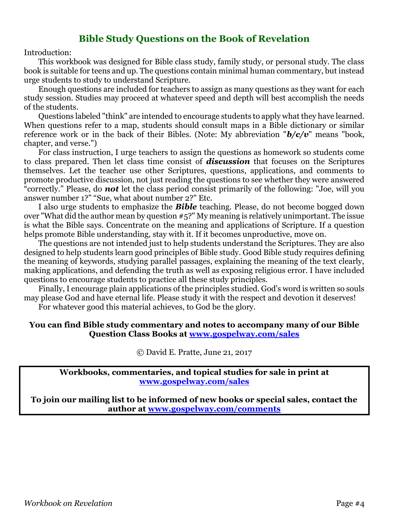#### **Bible Study Questions on the Book of Revelation**

Introduction:

This workbook was designed for Bible class study, family study, or personal study. The class book is suitable for teens and up. The questions contain minimal human commentary, but instead urge students to study to understand Scripture.

Enough questions are included for teachers to assign as many questions as they want for each study session. Studies may proceed at whatever speed and depth will best accomplish the needs of the students.

Questions labeled "think" are intended to encourage students to apply what they have learned. When questions refer to a map, students should consult maps in a Bible dictionary or similar reference work or in the back of their Bibles. (Note: My abbreviation "*b/c/v*" means "book, chapter, and verse.")

For class instruction, I urge teachers to assign the questions as homework so students come to class prepared. Then let class time consist of *discussion* that focuses on the Scriptures themselves. Let the teacher use other Scriptures, questions, applications, and comments to promote productive discussion, not just reading the questions to see whether they were answered "correctly." Please, do *not* let the class period consist primarily of the following: "Joe, will you answer number 1?" "Sue, what about number 2?" Etc.

I also urge students to emphasize the *Bible* teaching. Please, do not become bogged down over "What did the author mean by question #5?" My meaning is relatively unimportant. The issue is what the Bible says. Concentrate on the meaning and applications of Scripture. If a question helps promote Bible understanding, stay with it. If it becomes unproductive, move on.

The questions are not intended just to help students understand the Scriptures. They are also designed to help students learn good principles of Bible study. Good Bible study requires defining the meaning of keywords, studying parallel passages, explaining the meaning of the text clearly, making applications, and defending the truth as well as exposing religious error. I have included questions to encourage students to practice all these study principles.

Finally, I encourage plain applications of the principles studied. God's word is written so souls may please God and have eternal life. Please study it with the respect and devotion it deserves!

For whatever good this material achieves, to God be the glory.

#### **You can find Bible study commentary and notes to accompany many of our Bible Question Class Books at [www.gospelway.com/sales](https://www.gospelway.com/sales)**

© David E. Pratte, June 21, 2017

**Workbooks, commentaries, and topical studies for sale in print at [www.gospelway.com/sales](https://www.gospelway.com/sales)**

**To join our mailing list to be informed of new books or special sales, contact the author at [www.gospelway.com/comments](http://www.gospelway.com/comments)**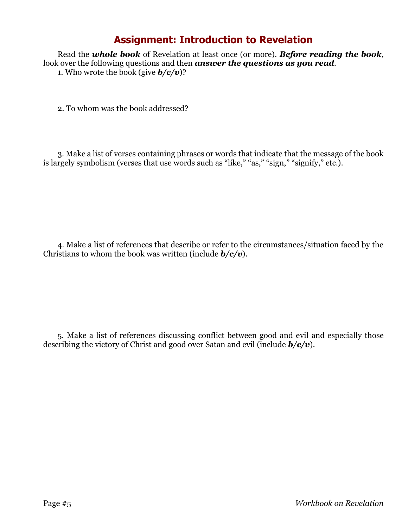#### **Assignment: Introduction to Revelation**

Read the *whole book* of Revelation at least once (or more). *Before reading the book*, look over the following questions and then *answer the questions as you read*. 1. Who wrote the book (give  $\mathbf{b}/\mathbf{c}/\mathbf{v}$ )?

2. To whom was the book addressed?

3. Make a list of verses containing phrases or words that indicate that the message of the book is largely symbolism (verses that use words such as "like," "as," "sign," "signify," etc.).

4. Make a list of references that describe or refer to the circumstances/situation faced by the Christians to whom the book was written (include *b/c/v*).

5. Make a list of references discussing conflict between good and evil and especially those describing the victory of Christ and good over Satan and evil (include *b/c/v*).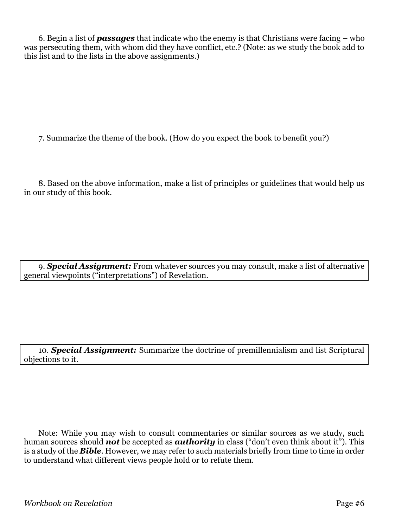6. Begin a list of *passages* that indicate who the enemy is that Christians were facing – who was persecuting them, with whom did they have conflict, etc.? (Note: as we study the book add to this list and to the lists in the above assignments.)

7. Summarize the theme of the book. (How do you expect the book to benefit you?)

8. Based on the above information, make a list of principles or guidelines that would help us in our study of this book.

9. *Special Assignment:* From whatever sources you may consult, make a list of alternative general viewpoints ("interpretations") of Revelation.

10. *Special Assignment:* Summarize the doctrine of premillennialism and list Scriptural objections to it.

Note: While you may wish to consult commentaries or similar sources as we study, such human sources should *not* be accepted as *authority* in class ("don't even think about it"). This is a study of the *Bible*. However, we may refer to such materials briefly from time to time in order to understand what different views people hold or to refute them.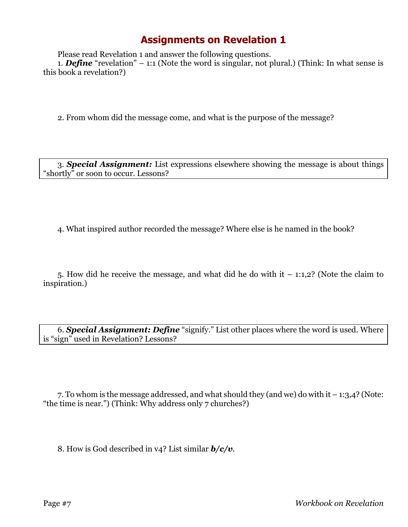Please read Revelation 1 and answer the following questions.

1. *Define* "revelation" – 1:1 (Note the word is singular, not plural.) (Think: In what sense is this book a revelation?)

2. From whom did the message come, and what is the purpose of the message?

3. *Special Assignment:* List expressions elsewhere showing the message is about things "shortly" or soon to occur. Lessons?

4. What inspired author recorded the message? Where else is he named in the book?

5. How did he receive the message, and what did he do with it  $-1:1,2$ ? (Note the claim to inspiration.)

6. *Special Assignment: Define* "signify." List other places where the word is used. Where is "sign" used in Revelation? Lessons?

7. To whom is the message addressed, and what should they (and we) do with it – 1:3,4? (Note: "the time is near.") (Think: Why address only 7 churches?)

8. How is God described in v4? List similar *b/c/v*.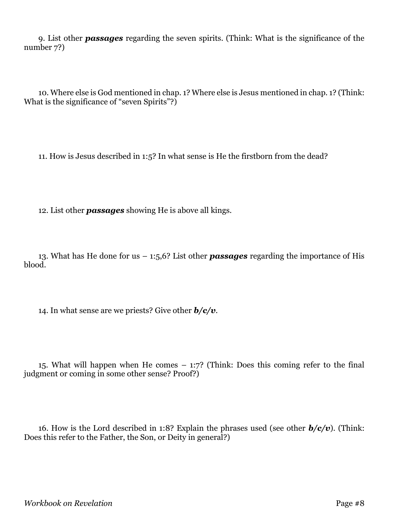9. List other *passages* regarding the seven spirits. (Think: What is the significance of the number 7?)

10. Where else is God mentioned in chap. 1? Where else is Jesus mentioned in chap. 1? (Think: What is the significance of "seven Spirits"?)

11. How is Jesus described in 1:5? In what sense is He the firstborn from the dead?

12. List other *passages* showing He is above all kings.

13. What has He done for us – 1:5,6? List other *passages* regarding the importance of His blood.

14. In what sense are we priests? Give other *b/c/v*.

15. What will happen when He comes – 1:7? (Think: Does this coming refer to the final judgment or coming in some other sense? Proof?)

16. How is the Lord described in 1:8? Explain the phrases used (see other *b/c/v*). (Think: Does this refer to the Father, the Son, or Deity in general?)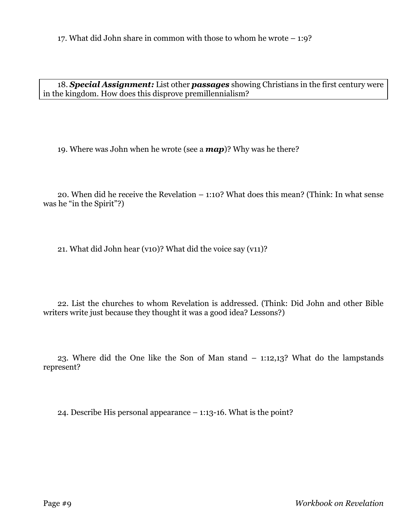18. *Special Assignment:* List other *passages* showing Christians in the first century were in the kingdom. How does this disprove premillennialism?

19. Where was John when he wrote (see a *map*)? Why was he there?

20. When did he receive the Revelation – 1:10? What does this mean? (Think: In what sense was he "in the Spirit"?)

21. What did John hear (v10)? What did the voice say (v11)?

22. List the churches to whom Revelation is addressed. (Think: Did John and other Bible writers write just because they thought it was a good idea? Lessons?)

23. Where did the One like the Son of Man stand – 1:12,13? What do the lampstands represent?

24. Describe His personal appearance – 1:13-16. What is the point?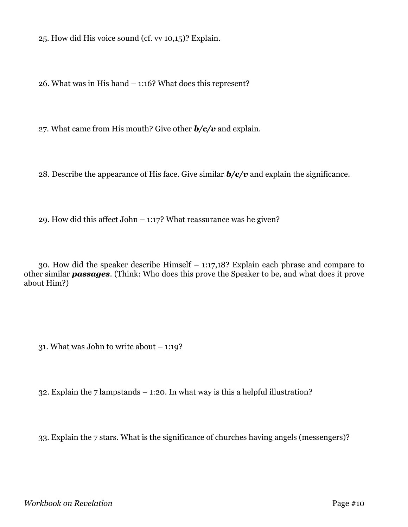25. How did His voice sound (cf. vv 10,15)? Explain.

26. What was in His hand – 1:16? What does this represent?

27. What came from His mouth? Give other *b/c/v* and explain.

28. Describe the appearance of His face. Give similar *b/c/v* and explain the significance.

29. How did this affect John – 1:17? What reassurance was he given?

30. How did the speaker describe Himself – 1:17,18? Explain each phrase and compare to other similar *passages*. (Think: Who does this prove the Speaker to be, and what does it prove about Him?)

31. What was John to write about – 1:19?

32. Explain the 7 lampstands  $-$  1:20. In what way is this a helpful illustration?

33. Explain the 7 stars. What is the significance of churches having angels (messengers)?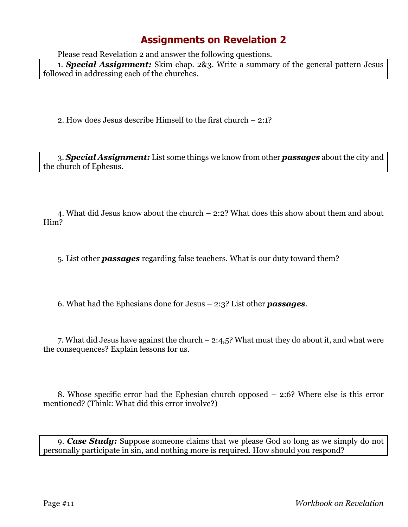Please read Revelation 2 and answer the following questions.

1. *Special Assignment:* Skim chap. 2&3. Write a summary of the general pattern Jesus followed in addressing each of the churches.

2. How does Jesus describe Himself to the first church – 2:1?

3. *Special Assignment:* List some things we know from other *passages* about the city and the church of Ephesus.

4. What did Jesus know about the church – 2:2? What does this show about them and about Him?

5. List other *passages* regarding false teachers. What is our duty toward them?

6. What had the Ephesians done for Jesus – 2:3? List other *passages*.

7. What did Jesus have against the church – 2:4,5? What must they do about it, and what were the consequences? Explain lessons for us.

8. Whose specific error had the Ephesian church opposed – 2:6? Where else is this error mentioned? (Think: What did this error involve?)

9. *Case Study:* Suppose someone claims that we please God so long as we simply do not personally participate in sin, and nothing more is required. How should you respond?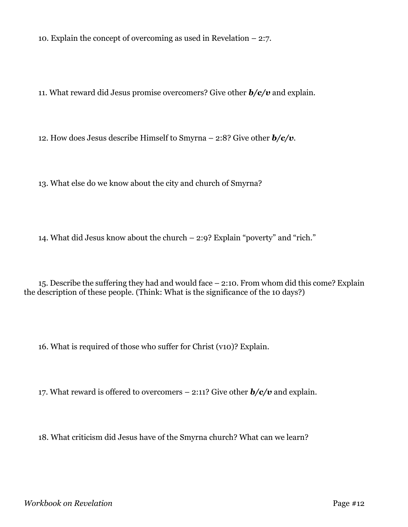10. Explain the concept of overcoming as used in Revelation – 2:7.

11. What reward did Jesus promise overcomers? Give other *b/c/v* and explain.

12. How does Jesus describe Himself to Smyrna – 2:8? Give other *b/c/v*.

13. What else do we know about the city and church of Smyrna?

14. What did Jesus know about the church – 2:9? Explain "poverty" and "rich."

15. Describe the suffering they had and would face – 2:10. From whom did this come? Explain the description of these people. (Think: What is the significance of the 10 days?)

16. What is required of those who suffer for Christ (v10)? Explain.

17. What reward is offered to overcomers  $-2:11$ ? Give other  $b/c/v$  and explain.

18. What criticism did Jesus have of the Smyrna church? What can we learn?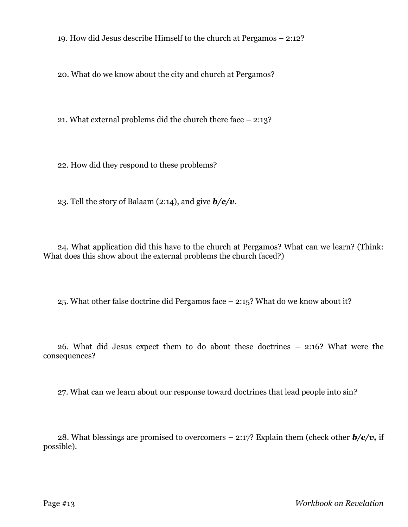19. How did Jesus describe Himself to the church at Pergamos – 2:12?

20. What do we know about the city and church at Pergamos?

21. What external problems did the church there face – 2:13?

22. How did they respond to these problems?

23. Tell the story of Balaam (2:14), and give *b/c/v*.

24. What application did this have to the church at Pergamos? What can we learn? (Think: What does this show about the external problems the church faced?)

25. What other false doctrine did Pergamos face – 2:15? What do we know about it?

26. What did Jesus expect them to do about these doctrines – 2:16? What were the consequences?

27. What can we learn about our response toward doctrines that lead people into sin?

28. What blessings are promised to overcomers – 2:17? Explain them (check other *b/c/v,* if possible).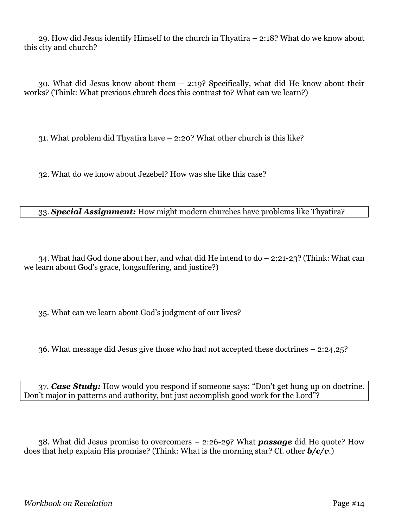29. How did Jesus identify Himself to the church in Thyatira – 2:18? What do we know about this city and church?

30. What did Jesus know about them – 2:19? Specifically, what did He know about their works? (Think: What previous church does this contrast to? What can we learn?)

31. What problem did Thyatira have – 2:20? What other church is this like?

32. What do we know about Jezebel? How was she like this case?

#### 33. *Special Assignment:* How might modern churches have problems like Thyatira?

34. What had God done about her, and what did He intend to do – 2:21-23? (Think: What can we learn about God's grace, longsuffering, and justice?)

35. What can we learn about God's judgment of our lives?

36. What message did Jesus give those who had not accepted these doctrines – 2:24,25?

37. *Case Study:* How would you respond if someone says: "Don't get hung up on doctrine. Don't major in patterns and authority, but just accomplish good work for the Lord"?

38. What did Jesus promise to overcomers – 2:26-29? What *passage* did He quote? How does that help explain His promise? (Think: What is the morning star? Cf. other *b/c/v*.)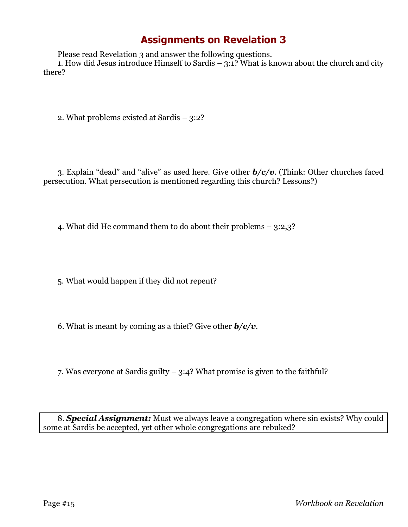Please read Revelation 3 and answer the following questions.

1. How did Jesus introduce Himself to Sardis  $-3:1$ ? What is known about the church and city there?

2. What problems existed at Sardis – 3:2?

3. Explain "dead" and "alive" as used here. Give other *b/c/v*. (Think: Other churches faced persecution. What persecution is mentioned regarding this church? Lessons?)

4. What did He command them to do about their problems – 3:2,3?

5. What would happen if they did not repent?

6. What is meant by coming as a thief? Give other *b/c/v*.

7. Was everyone at Sardis guilty – 3:4? What promise is given to the faithful?

8. *Special Assignment:* Must we always leave a congregation where sin exists? Why could some at Sardis be accepted, yet other whole congregations are rebuked?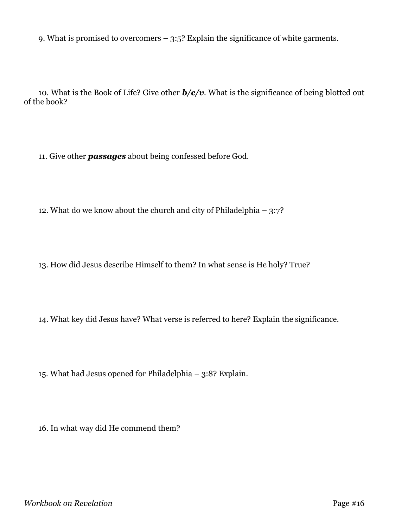9. What is promised to overcomers – 3:5? Explain the significance of white garments.

10. What is the Book of Life? Give other *b/c/v*. What is the significance of being blotted out of the book?

11. Give other *passages* about being confessed before God.

12. What do we know about the church and city of Philadelphia – 3:7?

13. How did Jesus describe Himself to them? In what sense is He holy? True?

14. What key did Jesus have? What verse is referred to here? Explain the significance.

15. What had Jesus opened for Philadelphia – 3:8? Explain.

16. In what way did He commend them?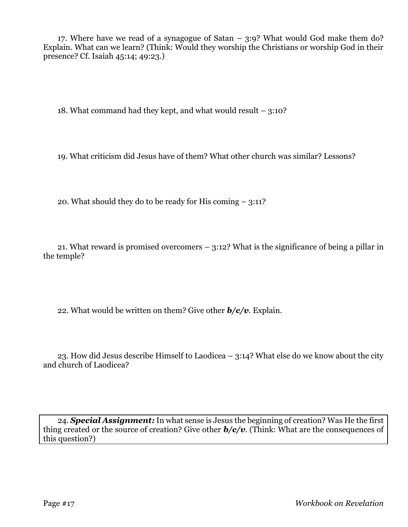17. Where have we read of a synagogue of Satan – 3:9? What would God make them do? Explain. What can we learn? (Think: Would they worship the Christians or worship God in their presence? Cf. Isaiah 45:14; 49:23.)

18. What command had they kept, and what would result – 3:10?

19. What criticism did Jesus have of them? What other church was similar? Lessons?

20. What should they do to be ready for His coming – 3:11?

21. What reward is promised overcomers – 3:12? What is the significance of being a pillar in the temple?

22. What would be written on them? Give other *b/c/v*. Explain.

23. How did Jesus describe Himself to Laodicea – 3:14? What else do we know about the city and church of Laodicea?

24. *Special Assignment:* In what sense is Jesus the beginning of creation? Was He the first thing created or the source of creation? Give other *b/c/v*. (Think: What are the consequences of this question?)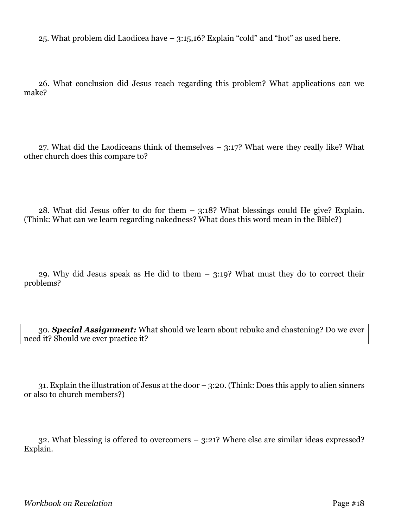25. What problem did Laodicea have – 3:15,16? Explain "cold" and "hot" as used here.

26. What conclusion did Jesus reach regarding this problem? What applications can we make?

27. What did the Laodiceans think of themselves – 3:17? What were they really like? What other church does this compare to?

28. What did Jesus offer to do for them – 3:18? What blessings could He give? Explain. (Think: What can we learn regarding nakedness? What does this word mean in the Bible?)

29. Why did Jesus speak as He did to them – 3:19? What must they do to correct their problems?

30. *Special Assignment:* What should we learn about rebuke and chastening? Do we ever need it? Should we ever practice it?

31. Explain the illustration of Jesus at the door – 3:20. (Think: Does this apply to alien sinners or also to church members?)

32. What blessing is offered to overcomers – 3:21? Where else are similar ideas expressed? Explain.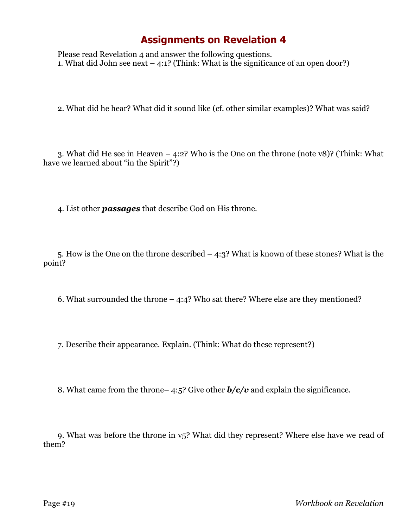Please read Revelation 4 and answer the following questions. 1. What did John see next  $-$  4:1? (Think: What is the significance of an open door?)

2. What did he hear? What did it sound like (cf. other similar examples)? What was said?

3. What did He see in Heaven – 4:2? Who is the One on the throne (note v8)? (Think: What have we learned about "in the Spirit"?)

4. List other *passages* that describe God on His throne.

5. How is the One on the throne described – 4:3? What is known of these stones? What is the point?

6. What surrounded the throne – 4:4? Who sat there? Where else are they mentioned?

7. Describe their appearance. Explain. (Think: What do these represent?)

8. What came from the throne– 4:5? Give other *b/c/v* and explain the significance.

9. What was before the throne in v5? What did they represent? Where else have we read of them?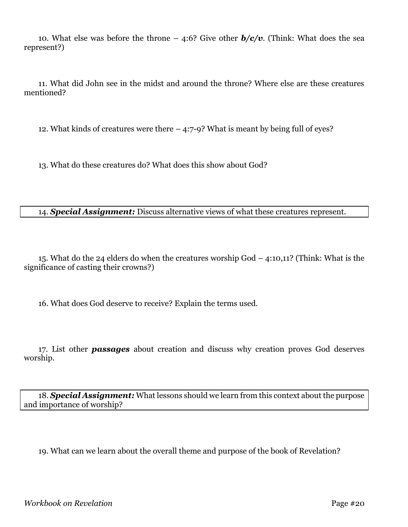10. What else was before the throne – 4:6? Give other *b/c/v*. (Think: What does the sea represent?)

11. What did John see in the midst and around the throne? Where else are these creatures mentioned?

12. What kinds of creatures were there – 4:7-9? What is meant by being full of eyes?

13. What do these creatures do? What does this show about God?

#### 14. *Special Assignment:* Discuss alternative views of what these creatures represent.

15. What do the 24 elders do when the creatures worship God – 4:10,11? (Think: What is the significance of casting their crowns?)

16. What does God deserve to receive? Explain the terms used.

17. List other *passages* about creation and discuss why creation proves God deserves worship.

18. *Special Assignment:* What lessons should we learn from this context about the purpose and importance of worship?

19. What can we learn about the overall theme and purpose of the book of Revelation?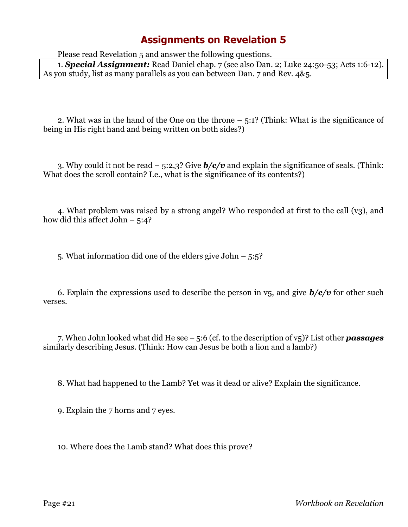Please read Revelation 5 and answer the following questions.

1. *Special Assignment:* Read Daniel chap. 7 (see also Dan. 2; Luke 24:50-53; Acts 1:6-12). As you study, list as many parallels as you can between Dan. 7 and Rev. 4&5.

2. What was in the hand of the One on the throne – 5:1? (Think: What is the significance of being in His right hand and being written on both sides?)

3. Why could it not be read – 5:2,3? Give *b/c/v* and explain the significance of seals. (Think: What does the scroll contain? I.e., what is the significance of its contents?)

4. What problem was raised by a strong angel? Who responded at first to the call (v3), and how did this affect John  $-5:4?$ 

5. What information did one of the elders give John – 5:5?

6. Explain the expressions used to describe the person in  $v_5$ , and give  $b/c/v$  for other such verses.

7. When John looked what did He see – 5:6 (cf. to the description of v5)? List other *passages* similarly describing Jesus. (Think: How can Jesus be both a lion and a lamb?)

8. What had happened to the Lamb? Yet was it dead or alive? Explain the significance.

9. Explain the 7 horns and 7 eyes.

10. Where does the Lamb stand? What does this prove?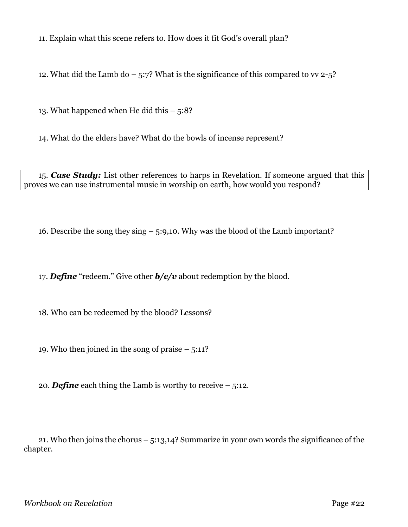11. Explain what this scene refers to. How does it fit God's overall plan?

12. What did the Lamb do  $-$  5:7? What is the significance of this compared to vv 2-5?

13. What happened when He did this  $-5:8$ ?

14. What do the elders have? What do the bowls of incense represent?

15. *Case Study:* List other references to harps in Revelation. If someone argued that this proves we can use instrumental music in worship on earth, how would you respond?

16. Describe the song they sing – 5:9,10. Why was the blood of the Lamb important?

17. *Define* "redeem." Give other *b/c/v* about redemption by the blood.

18. Who can be redeemed by the blood? Lessons?

19. Who then joined in the song of praise  $-5:11?$ 

20. **Define** each thing the Lamb is worthy to receive  $-5:12$ .

21. Who then joins the chorus – 5:13,14? Summarize in your own words the significance of the chapter.

*Workbook on Revelation* Page #22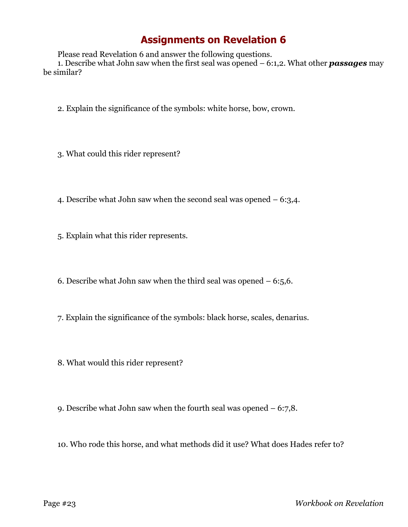Please read Revelation 6 and answer the following questions.

1. Describe what John saw when the first seal was opened – 6:1,2. What other *passages* may be similar?

- 2. Explain the significance of the symbols: white horse, bow, crown.
- 3. What could this rider represent?
- 4. Describe what John saw when the second seal was opened  $-6:3,4$ .
- 5. Explain what this rider represents.
- 6. Describe what John saw when the third seal was opened  $-6:5,6$ .
- 7. Explain the significance of the symbols: black horse, scales, denarius.
- 8. What would this rider represent?
- 9. Describe what John saw when the fourth seal was opened 6:7,8.
- 10. Who rode this horse, and what methods did it use? What does Hades refer to?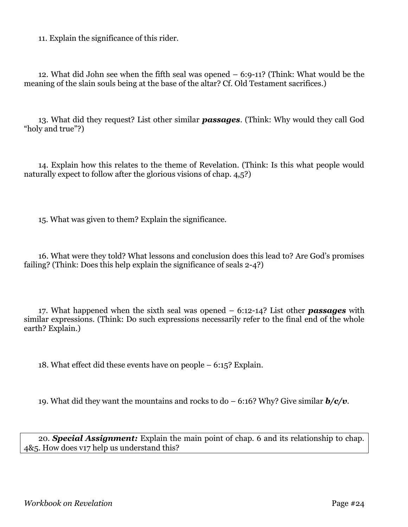11. Explain the significance of this rider.

12. What did John see when the fifth seal was opened – 6:9-11? (Think: What would be the meaning of the slain souls being at the base of the altar? Cf. Old Testament sacrifices.)

13. What did they request? List other similar *passages*. (Think: Why would they call God "holy and true"?)

14. Explain how this relates to the theme of Revelation. (Think: Is this what people would naturally expect to follow after the glorious visions of chap. 4,5?)

15. What was given to them? Explain the significance.

16. What were they told? What lessons and conclusion does this lead to? Are God's promises failing? (Think: Does this help explain the significance of seals 2-4?)

17. What happened when the sixth seal was opened – 6:12-14? List other *passages* with similar expressions. (Think: Do such expressions necessarily refer to the final end of the whole earth? Explain.)

18. What effect did these events have on people – 6:15? Explain.

19. What did they want the mountains and rocks to do – 6:16? Why? Give similar *b/c/v*.

20. *Special Assignment:* Explain the main point of chap. 6 and its relationship to chap. 4&5. How does v17 help us understand this?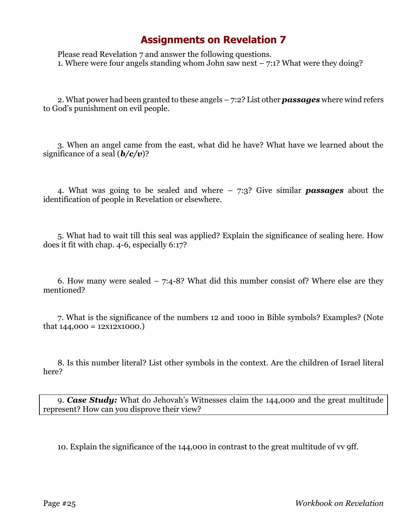Please read Revelation 7 and answer the following questions. 1. Where were four angels standing whom John saw next  $-7:1$ ? What were they doing?

2. What power had been granted to these angels – 7:2? List other *passages* where wind refers to God's punishment on evil people.

3. When an angel came from the east, what did he have? What have we learned about the significance of a seal (*b/c/v*)?

4. What was going to be sealed and where – 7:3? Give similar *passages* about the identification of people in Revelation or elsewhere.

5. What had to wait till this seal was applied? Explain the significance of sealing here. How does it fit with chap. 4-6, especially 6:17?

6. How many were sealed  $-7:4-8$ ? What did this number consist of? Where else are they mentioned?

7. What is the significance of the numbers 12 and 1000 in Bible symbols? Examples? (Note that  $144,000 = 12 \times 12 \times 1000$ .

8. Is this number literal? List other symbols in the context. Are the children of Israel literal here?

9. *Case Study:* What do Jehovah's Witnesses claim the 144,000 and the great multitude represent? How can you disprove their view?

10. Explain the significance of the 144,000 in contrast to the great multitude of vv 9ff.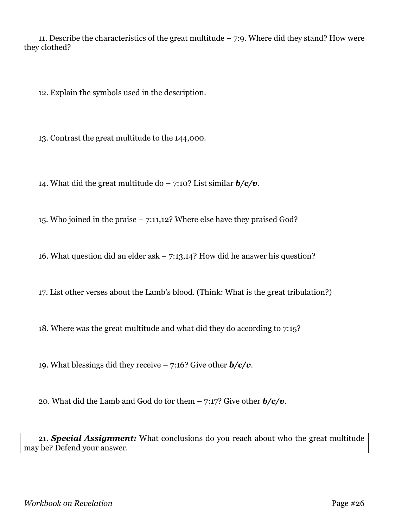11. Describe the characteristics of the great multitude  $-7:9$ . Where did they stand? How were they clothed?

12. Explain the symbols used in the description.

13. Contrast the great multitude to the 144,000.

14. What did the great multitude do – 7:10? List similar *b/c/v*.

15. Who joined in the praise – 7:11,12? Where else have they praised God?

16. What question did an elder ask – 7:13,14? How did he answer his question?

17. List other verses about the Lamb's blood. (Think: What is the great tribulation?)

18. Where was the great multitude and what did they do according to 7:15?

19. What blessings did they receive – 7:16? Give other *b/c/v*.

20. What did the Lamb and God do for them – 7:17? Give other *b/c/v*.

21. *Special Assignment:* What conclusions do you reach about who the great multitude may be? Defend your answer.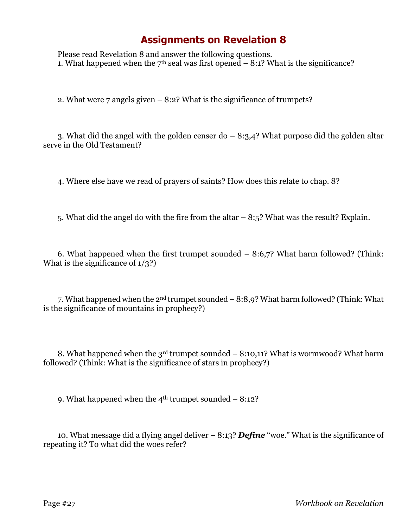Please read Revelation 8 and answer the following questions. 1. What happened when the  $7<sup>th</sup>$  seal was first opened  $-8:1$ ? What is the significance?

2. What were 7 angels given – 8:2? What is the significance of trumpets?

3. What did the angel with the golden censer do  $-8:3,4$ ? What purpose did the golden altar serve in the Old Testament?

4. Where else have we read of prayers of saints? How does this relate to chap. 8?

5. What did the angel do with the fire from the altar – 8:5? What was the result? Explain.

6. What happened when the first trumpet sounded  $-8:6,7$ ? What harm followed? (Think: What is the significance of  $1/3$ ?

7. What happened when the 2nd trumpet sounded – 8:8,9? What harm followed? (Think: What is the significance of mountains in prophecy?)

8. What happened when the  $3<sup>rd</sup>$  trumpet sounded – 8:10,11? What is wormwood? What harm followed? (Think: What is the significance of stars in prophecy?)

9. What happened when the  $4<sup>th</sup>$  trumpet sounded  $-8:12$ ?

10. What message did a flying angel deliver – 8:13? *Define* "woe." What is the significance of repeating it? To what did the woes refer?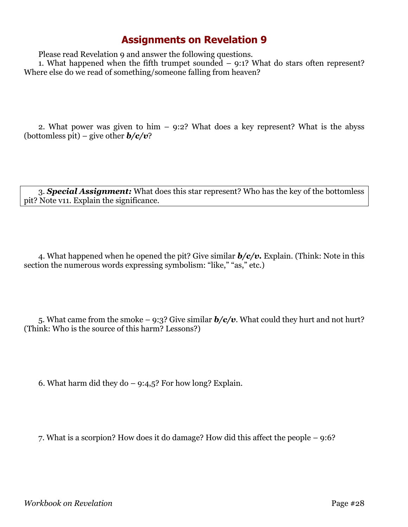Please read Revelation 9 and answer the following questions.

1. What happened when the fifth trumpet sounded – 9:1? What do stars often represent? Where else do we read of something/someone falling from heaven?

2. What power was given to him – 9:2? What does a key represent? What is the abyss (bottomless pit) – give other *b/c/v*?

3. *Special Assignment:* What does this star represent? Who has the key of the bottomless pit? Note v11. Explain the significance.

4. What happened when he opened the pit? Give similar *b/c/v.* Explain. (Think: Note in this section the numerous words expressing symbolism: "like," "as," etc.)

5. What came from the smoke – 9:3? Give similar  $b/c/v$ . What could they hurt and not hurt? (Think: Who is the source of this harm? Lessons?)

6. What harm did they do  $-$  9:4,5? For how long? Explain.

7. What is a scorpion? How does it do damage? How did this affect the people – 9:6?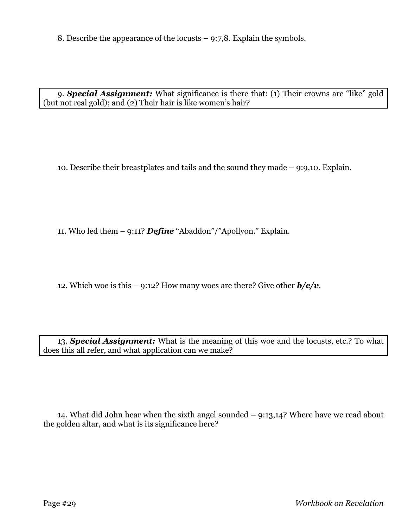8. Describe the appearance of the locusts – 9:7,8. Explain the symbols.

9. *Special Assignment:* What significance is there that: (1) Their crowns are "like" gold (but not real gold); and (2) Their hair is like women's hair?

10. Describe their breastplates and tails and the sound they made – 9:9,10. Explain.

11. Who led them – 9:11? *Define* "Abaddon"/"Apollyon." Explain.

12. Which woe is this – 9:12? How many woes are there? Give other *b/c/v*.

13. *Special Assignment:* What is the meaning of this woe and the locusts, etc.? To what does this all refer, and what application can we make?

14. What did John hear when the sixth angel sounded – 9:13,14? Where have we read about the golden altar, and what is its significance here?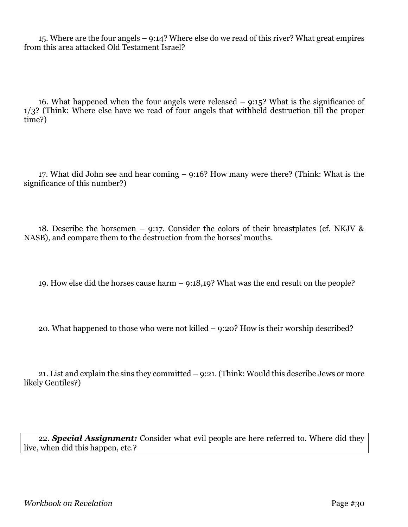15. Where are the four angels – 9:14? Where else do we read of this river? What great empires from this area attacked Old Testament Israel?

16. What happened when the four angels were released  $-$  9:15? What is the significance of 1/3? (Think: Where else have we read of four angels that withheld destruction till the proper time?)

17. What did John see and hear coming – 9:16? How many were there? (Think: What is the significance of this number?)

18. Describe the horsemen – 9:17. Consider the colors of their breastplates (cf. NKJV  $\&$ NASB), and compare them to the destruction from the horses' mouths.

19. How else did the horses cause harm – 9:18,19? What was the end result on the people?

20. What happened to those who were not killed – 9:20? How is their worship described?

21. List and explain the sins they committed – 9:21. (Think: Would this describe Jews or more likely Gentiles?)

22. *Special Assignment:* Consider what evil people are here referred to. Where did they live, when did this happen, etc.?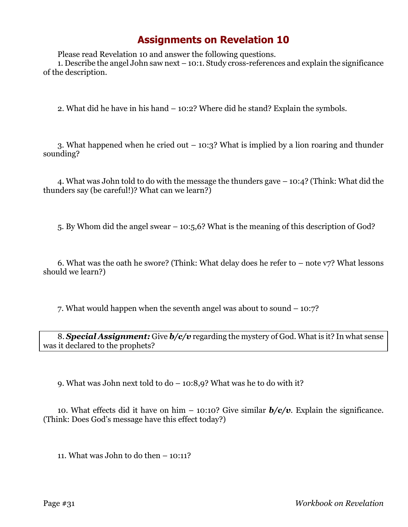Please read Revelation 10 and answer the following questions.

1. Describe the angel John saw next – 10:1. Study cross-references and explain the significance of the description.

2. What did he have in his hand – 10:2? Where did he stand? Explain the symbols.

3. What happened when he cried out – 10:3? What is implied by a lion roaring and thunder sounding?

4. What was John told to do with the message the thunders gave – 10:4? (Think: What did the thunders say (be careful!)? What can we learn?)

5. By Whom did the angel swear – 10:5,6? What is the meaning of this description of God?

6. What was the oath he swore? (Think: What delay does he refer to  $-$  note v7? What lessons should we learn?)

7. What would happen when the seventh angel was about to sound – 10:7?

8. *Special Assignment:* Give *b/c/v* regarding the mystery of God. What is it? In what sense was it declared to the prophets?

9. What was John next told to do – 10:8,9? What was he to do with it?

10. What effects did it have on him – 10:10? Give similar *b/c/v*. Explain the significance. (Think: Does God's message have this effect today?)

11. What was John to do then – 10:11?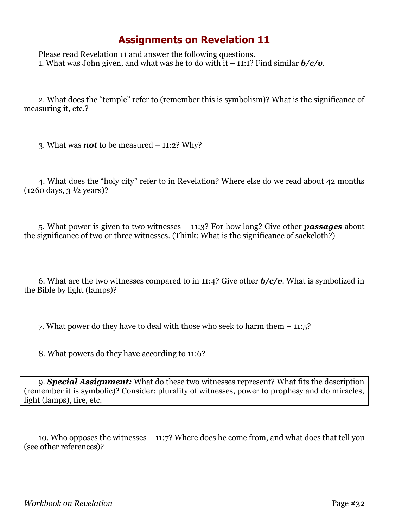Please read Revelation 11 and answer the following questions. 1. What was John given, and what was he to do with it  $-11:1$ ? Find similar  $b/c/v$ .

2. What does the "temple" refer to (remember this is symbolism)? What is the significance of measuring it, etc.?

3. What was *not* to be measured – 11:2? Why?

4. What does the "holy city" refer to in Revelation? Where else do we read about 42 months  $(1260 \text{ days}, 3 \frac{1}{2} \text{ years})$ ?

5. What power is given to two witnesses – 11:3? For how long? Give other *passages* about the significance of two or three witnesses. (Think: What is the significance of sackcloth?)

6. What are the two witnesses compared to in 11:4? Give other *b/c/v*. What is symbolized in the Bible by light (lamps)?

7. What power do they have to deal with those who seek to harm them – 11:5?

8. What powers do they have according to 11:6?

9. *Special Assignment:* What do these two witnesses represent? What fits the description (remember it is symbolic)? Consider: plurality of witnesses, power to prophesy and do miracles, light (lamps), fire, etc.

10. Who opposes the witnesses – 11:7? Where does he come from, and what does that tell you (see other references)?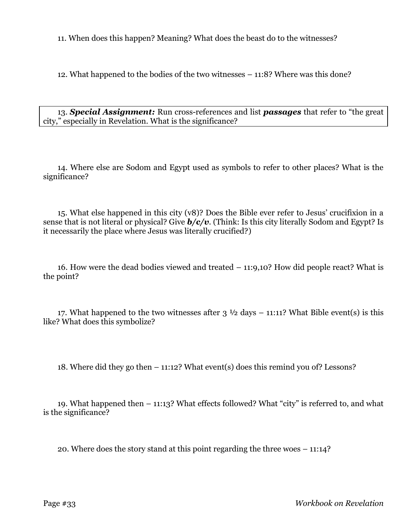11. When does this happen? Meaning? What does the beast do to the witnesses?

12. What happened to the bodies of the two witnesses – 11:8? Where was this done?

13. *Special Assignment:* Run cross-references and list *passages* that refer to "the great city," especially in Revelation. What is the significance?

14. Where else are Sodom and Egypt used as symbols to refer to other places? What is the significance?

15. What else happened in this city (v8)? Does the Bible ever refer to Jesus' crucifixion in a sense that is not literal or physical? Give *b/c/v*. (Think: Is this city literally Sodom and Egypt? Is it necessarily the place where Jesus was literally crucified?)

16. How were the dead bodies viewed and treated – 11:9,10? How did people react? What is the point?

17. What happened to the two witnesses after  $3\frac{1}{2}$  days – 11:11? What Bible event(s) is this like? What does this symbolize?

18. Where did they go then – 11:12? What event(s) does this remind you of? Lessons?

19. What happened then – 11:13? What effects followed? What "city" is referred to, and what is the significance?

20. Where does the story stand at this point regarding the three woes – 11:14?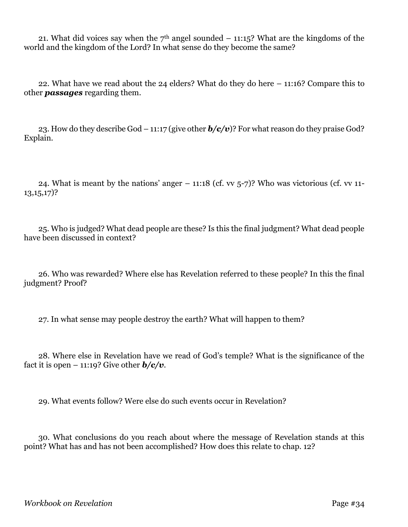21. What did voices say when the  $7<sup>th</sup>$  angel sounded – 11:15? What are the kingdoms of the world and the kingdom of the Lord? In what sense do they become the same?

22. What have we read about the 24 elders? What do they do here – 11:16? Compare this to other *passages* regarding them.

23. How do they describe God – 11:17 (give other *b/c/v*)? For what reason do they praise God? Explain.

24. What is meant by the nations' anger  $-11:18$  (cf. vv  $5-7$ )? Who was victorious (cf. vv  $11-$ 13,15,17)?

25. Who is judged? What dead people are these? Is this the final judgment? What dead people have been discussed in context?

26. Who was rewarded? Where else has Revelation referred to these people? In this the final judgment? Proof?

27. In what sense may people destroy the earth? What will happen to them?

28. Where else in Revelation have we read of God's temple? What is the significance of the fact it is open – 11:19? Give other  $b/c/v$ .

29. What events follow? Were else do such events occur in Revelation?

30. What conclusions do you reach about where the message of Revelation stands at this point? What has and has not been accomplished? How does this relate to chap. 12?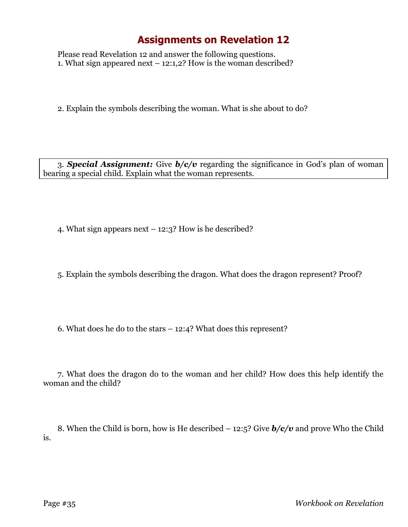Please read Revelation 12 and answer the following questions. 1. What sign appeared next  $-$  12:1,2? How is the woman described?

2. Explain the symbols describing the woman. What is she about to do?

3. *Special Assignment:* Give *b/c/v* regarding the significance in God's plan of woman bearing a special child. Explain what the woman represents.

4. What sign appears next – 12:3? How is he described?

5. Explain the symbols describing the dragon. What does the dragon represent? Proof?

6. What does he do to the stars – 12:4? What does this represent?

7. What does the dragon do to the woman and her child? How does this help identify the woman and the child?

8. When the Child is born, how is He described – 12:5? Give *b/c/v* and prove Who the Child is.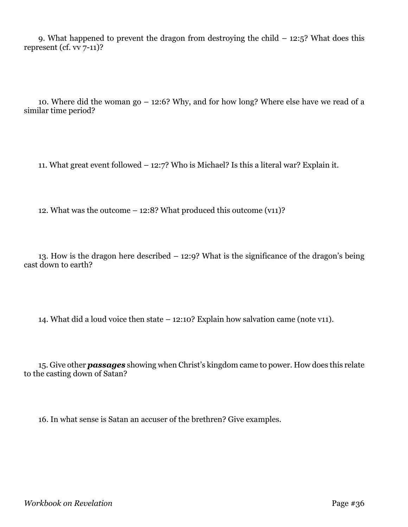9. What happened to prevent the dragon from destroying the child  $-$  12:5? What does this represent (cf. vv 7-11)?

10. Where did the woman go – 12:6? Why, and for how long? Where else have we read of a similar time period?

11. What great event followed – 12:7? Who is Michael? Is this a literal war? Explain it.

12. What was the outcome – 12:8? What produced this outcome (v11)?

13. How is the dragon here described – 12:9? What is the significance of the dragon's being cast down to earth?

14. What did a loud voice then state – 12:10? Explain how salvation came (note v11).

15. Give other *passages* showing when Christ's kingdom came to power. How does this relate to the casting down of Satan?

16. In what sense is Satan an accuser of the brethren? Give examples.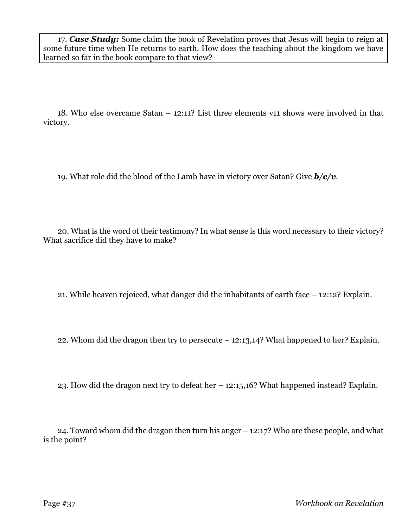17. *Case Study:* Some claim the book of Revelation proves that Jesus will begin to reign at some future time when He returns to earth. How does the teaching about the kingdom we have learned so far in the book compare to that view?

18. Who else overcame Satan – 12:11? List three elements v11 shows were involved in that victory.

19. What role did the blood of the Lamb have in victory over Satan? Give *b/c/v*.

20. What is the word of their testimony? In what sense is this word necessary to their victory? What sacrifice did they have to make?

21. While heaven rejoiced, what danger did the inhabitants of earth face – 12:12? Explain.

22. Whom did the dragon then try to persecute – 12:13,14? What happened to her? Explain.

23. How did the dragon next try to defeat her – 12:15,16? What happened instead? Explain.

24. Toward whom did the dragon then turn his anger – 12:17? Who are these people, and what is the point?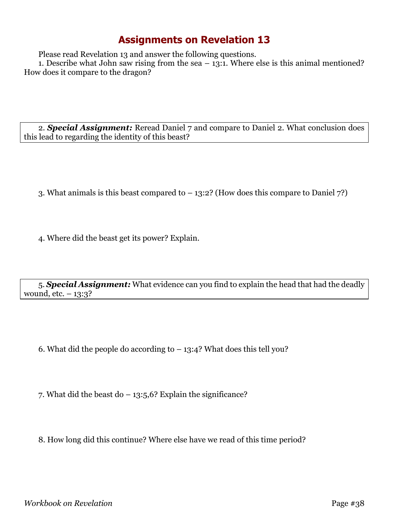Please read Revelation 13 and answer the following questions.

1. Describe what John saw rising from the sea  $-13:1$ . Where else is this animal mentioned? How does it compare to the dragon?

2. *Special Assignment:* Reread Daniel 7 and compare to Daniel 2. What conclusion does this lead to regarding the identity of this beast?

- 3. What animals is this beast compared to 13:2? (How does this compare to Daniel 7?)
- 4. Where did the beast get its power? Explain.

5. *Special Assignment:* What evidence can you find to explain the head that had the deadly wound, etc. – 13:3?

6. What did the people do according to  $-13:4$ ? What does this tell you?

7. What did the beast do  $-13:5,6$ ? Explain the significance?

8. How long did this continue? Where else have we read of this time period?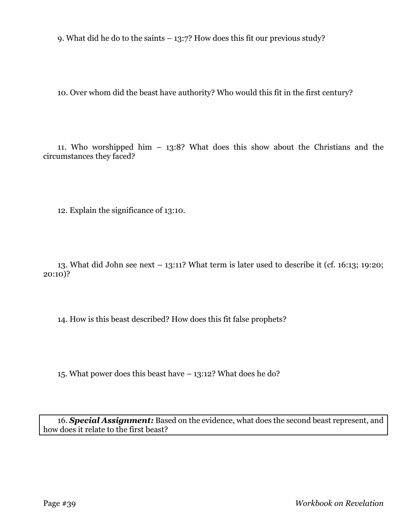9. What did he do to the saints – 13:7? How does this fit our previous study?

10. Over whom did the beast have authority? Who would this fit in the first century?

11. Who worshipped him – 13:8? What does this show about the Christians and the circumstances they faced?

12. Explain the significance of 13:10.

13. What did John see next – 13:11? What term is later used to describe it (cf. 16:13; 19:20; 20:10)?

14. How is this beast described? How does this fit false prophets?

15. What power does this beast have – 13:12? What does he do?

16. *Special Assignment:* Based on the evidence, what does the second beast represent, and how does it relate to the first beast?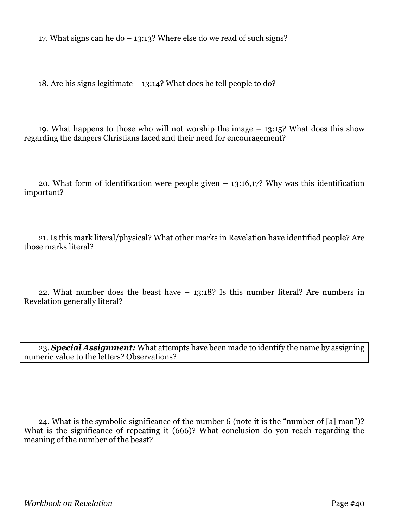17. What signs can he do – 13:13? Where else do we read of such signs?

18. Are his signs legitimate – 13:14? What does he tell people to do?

19. What happens to those who will not worship the image – 13:15? What does this show regarding the dangers Christians faced and their need for encouragement?

20. What form of identification were people given – 13:16,17? Why was this identification important?

21. Is this mark literal/physical? What other marks in Revelation have identified people? Are those marks literal?

22. What number does the beast have – 13:18? Is this number literal? Are numbers in Revelation generally literal?

23. *Special Assignment:* What attempts have been made to identify the name by assigning numeric value to the letters? Observations?

24. What is the symbolic significance of the number 6 (note it is the "number of [a] man")? What is the significance of repeating it (666)? What conclusion do you reach regarding the meaning of the number of the beast?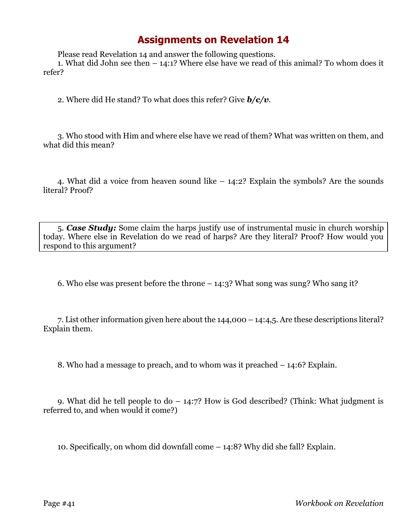Please read Revelation 14 and answer the following questions.

1. What did John see then – 14:1? Where else have we read of this animal? To whom does it refer?

2. Where did He stand? To what does this refer? Give *b/c/v*.

3. Who stood with Him and where else have we read of them? What was written on them, and what did this mean?

4. What did a voice from heaven sound like – 14:2? Explain the symbols? Are the sounds literal? Proof?

5. *Case Study:* Some claim the harps justify use of instrumental music in church worship today. Where else in Revelation do we read of harps? Are they literal? Proof? How would you respond to this argument?

6. Who else was present before the throne – 14:3? What song was sung? Who sang it?

7. List other information given here about the 144,000 – 14:4,5. Are these descriptions literal? Explain them.

8. Who had a message to preach, and to whom was it preached – 14:6? Explain.

9. What did he tell people to  $d_0 - 14:7$ ? How is God described? (Think: What judgment is referred to, and when would it come?)

10. Specifically, on whom did downfall come – 14:8? Why did she fall? Explain.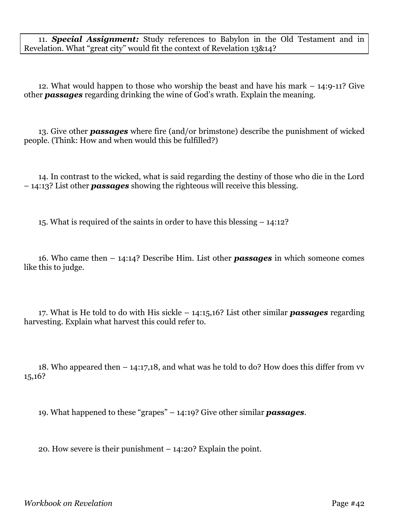11. *Special Assignment:* Study references to Babylon in the Old Testament and in Revelation. What "great city" would fit the context of Revelation 13&14?

12. What would happen to those who worship the beast and have his mark – 14:9-11? Give other *passages* regarding drinking the wine of God's wrath. Explain the meaning.

13. Give other *passages* where fire (and/or brimstone) describe the punishment of wicked people. (Think: How and when would this be fulfilled?)

14. In contrast to the wicked, what is said regarding the destiny of those who die in the Lord – 14:13? List other *passages* showing the righteous will receive this blessing.

15. What is required of the saints in order to have this blessing – 14:12?

16. Who came then – 14:14? Describe Him. List other *passages* in which someone comes like this to judge.

17. What is He told to do with His sickle – 14:15,16? List other similar *passages* regarding harvesting. Explain what harvest this could refer to.

18. Who appeared then – 14:17,18, and what was he told to do? How does this differ from vv 15,16?

19. What happened to these "grapes" – 14:19? Give other similar *passages*.

20. How severe is their punishment – 14:20? Explain the point.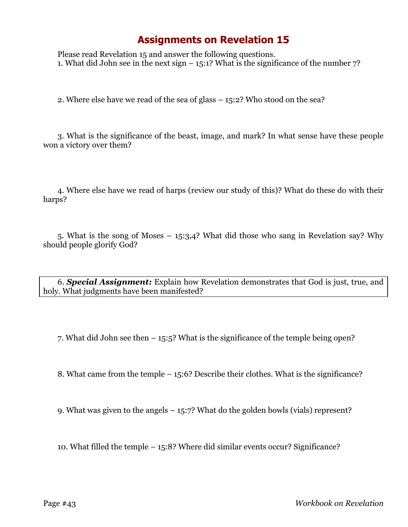Please read Revelation 15 and answer the following questions. 1. What did John see in the next sign  $-$  15:1? What is the significance of the number 7?

2. Where else have we read of the sea of glass – 15:2? Who stood on the sea?

3. What is the significance of the beast, image, and mark? In what sense have these people won a victory over them?

4. Where else have we read of harps (review our study of this)? What do these do with their harps?

5. What is the song of Moses – 15:3,4? What did those who sang in Revelation say? Why should people glorify God?

6. *Special Assignment:* Explain how Revelation demonstrates that God is just, true, and holy. What judgments have been manifested?

7. What did John see then – 15:5? What is the significance of the temple being open?

8. What came from the temple – 15:6? Describe their clothes. What is the significance?

9. What was given to the angels – 15:7? What do the golden bowls (vials) represent?

10. What filled the temple – 15:8? Where did similar events occur? Significance?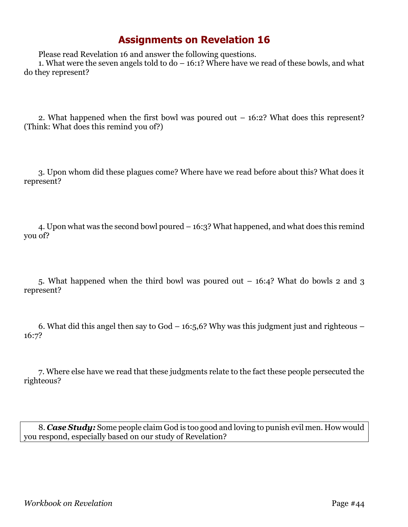Please read Revelation 16 and answer the following questions.

1. What were the seven angels told to do – 16:1? Where have we read of these bowls, and what do they represent?

2. What happened when the first bowl was poured out – 16:2? What does this represent? (Think: What does this remind you of?)

3. Upon whom did these plagues come? Where have we read before about this? What does it represent?

4. Upon what was the second bowl poured – 16:3? What happened, and what does this remind you of?

5. What happened when the third bowl was poured out – 16:4? What do bowls 2 and 3 represent?

6. What did this angel then say to God  $-16:5.6$ ? Why was this judgment just and righteous  $-$ 16:7?

7. Where else have we read that these judgments relate to the fact these people persecuted the righteous?

8. *Case Study:* Some people claim God is too good and loving to punish evil men. How would you respond, especially based on our study of Revelation?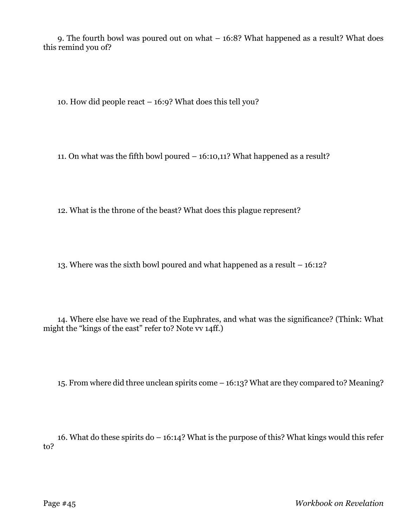9. The fourth bowl was poured out on what – 16:8? What happened as a result? What does this remind you of?

10. How did people react – 16:9? What does this tell you?

11. On what was the fifth bowl poured – 16:10,11? What happened as a result?

12. What is the throne of the beast? What does this plague represent?

13. Where was the sixth bowl poured and what happened as a result – 16:12?

14. Where else have we read of the Euphrates, and what was the significance? (Think: What might the "kings of the east" refer to? Note vv 14ff.)

15. From where did three unclean spirits come – 16:13? What are they compared to? Meaning?

16. What do these spirits do – 16:14? What is the purpose of this? What kings would this refer to?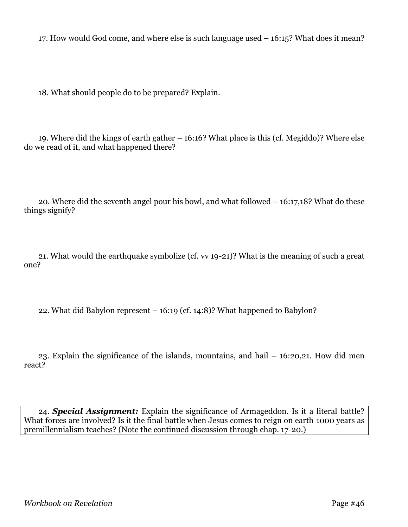17. How would God come, and where else is such language used – 16:15? What does it mean?

18. What should people do to be prepared? Explain.

19. Where did the kings of earth gather – 16:16? What place is this (cf. Megiddo)? Where else do we read of it, and what happened there?

20. Where did the seventh angel pour his bowl, and what followed – 16:17,18? What do these things signify?

21. What would the earthquake symbolize (cf. vv 19-21)? What is the meaning of such a great one?

22. What did Babylon represent – 16:19 (cf. 14:8)? What happened to Babylon?

23. Explain the significance of the islands, mountains, and hail – 16:20,21. How did men react?

24. *Special Assignment:* Explain the significance of Armageddon. Is it a literal battle? What forces are involved? Is it the final battle when Jesus comes to reign on earth 1000 years as premillennialism teaches? (Note the continued discussion through chap. 17-20.)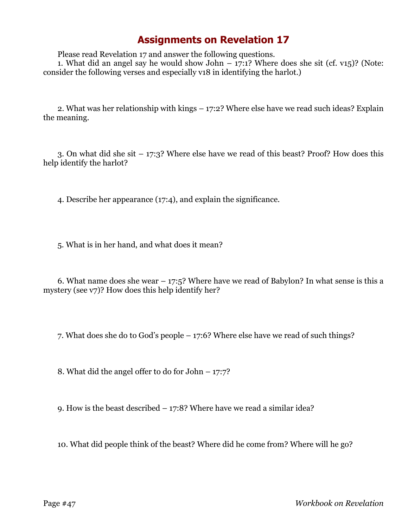Please read Revelation 17 and answer the following questions.

1. What did an angel say he would show John  $-17:1$ ? Where does she sit (cf. v15)? (Note: consider the following verses and especially v18 in identifying the harlot.)

2. What was her relationship with kings – 17:2? Where else have we read such ideas? Explain the meaning.

3. On what did she sit – 17:3? Where else have we read of this beast? Proof? How does this help identify the harlot?

4. Describe her appearance (17:4), and explain the significance.

5. What is in her hand, and what does it mean?

6. What name does she wear  $-17:5$ ? Where have we read of Babylon? In what sense is this a mystery (see v7)? How does this help identify her?

7. What does she do to God's people – 17:6? Where else have we read of such things?

8. What did the angel offer to do for John – 17:7?

9. How is the beast described – 17:8? Where have we read a similar idea?

10. What did people think of the beast? Where did he come from? Where will he go?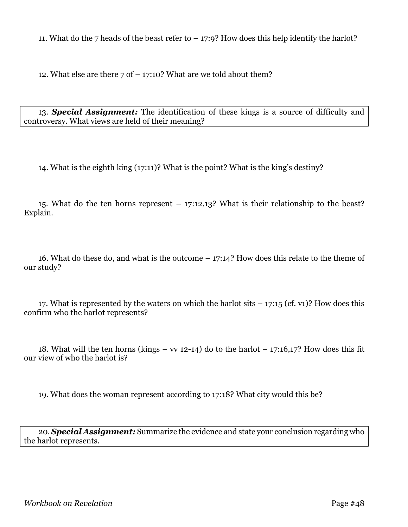11. What do the 7 heads of the beast refer to – 17:9? How does this help identify the harlot?

12. What else are there  $7$  of  $-$  17:10? What are we told about them?

13. *Special Assignment:* The identification of these kings is a source of difficulty and controversy. What views are held of their meaning?

14. What is the eighth king (17:11)? What is the point? What is the king's destiny?

15. What do the ten horns represent – 17:12,13? What is their relationship to the beast? Explain.

16. What do these do, and what is the outcome – 17:14? How does this relate to the theme of our study?

17. What is represented by the waters on which the harlot sits  $-17:15$  (cf. v1)? How does this confirm who the harlot represents?

18. What will the ten horns (kings – vv 12-14) do to the harlot – 17:16,17? How does this fit our view of who the harlot is?

19. What does the woman represent according to 17:18? What city would this be?

20. *Special Assignment:* Summarize the evidence and state your conclusion regarding who the harlot represents.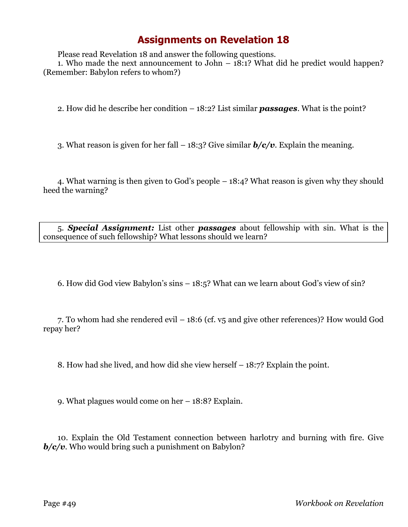Please read Revelation 18 and answer the following questions.

1. Who made the next announcement to John – 18:1? What did he predict would happen? (Remember: Babylon refers to whom?)

2. How did he describe her condition – 18:2? List similar *passages*. What is the point?

3. What reason is given for her fall – 18:3? Give similar *b/c/v*. Explain the meaning.

4. What warning is then given to God's people – 18:4? What reason is given why they should heed the warning?

5. *Special Assignment:* List other *passages* about fellowship with sin. What is the consequence of such fellowship? What lessons should we learn?

6. How did God view Babylon's sins – 18:5? What can we learn about God's view of sin?

7. To whom had she rendered evil – 18:6 (cf. v5 and give other references)? How would God repay her?

8. How had she lived, and how did she view herself – 18:7? Explain the point.

9. What plagues would come on her – 18:8? Explain.

10. Explain the Old Testament connection between harlotry and burning with fire. Give *b/c/v*. Who would bring such a punishment on Babylon?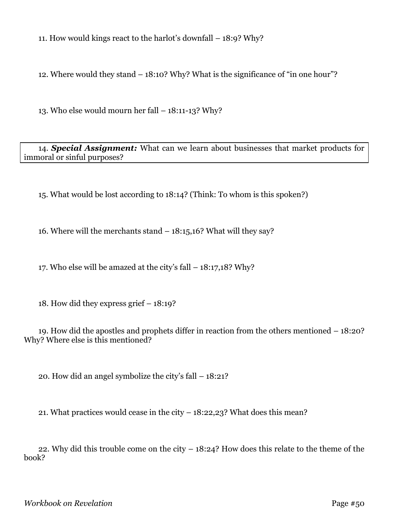11. How would kings react to the harlot's downfall – 18:9? Why?

12. Where would they stand – 18:10? Why? What is the significance of "in one hour"?

13. Who else would mourn her fall  $-18:11-13$ ? Why?

14. *Special Assignment:* What can we learn about businesses that market products for immoral or sinful purposes?

15. What would be lost according to 18:14? (Think: To whom is this spoken?)

16. Where will the merchants stand – 18:15,16? What will they say?

17. Who else will be amazed at the city's fall – 18:17,18? Why?

18. How did they express grief – 18:19?

19. How did the apostles and prophets differ in reaction from the others mentioned – 18:20? Why? Where else is this mentioned?

20. How did an angel symbolize the city's fall – 18:21?

21. What practices would cease in the city – 18:22,23? What does this mean?

22. Why did this trouble come on the city – 18:24? How does this relate to the theme of the book?

*Workbook on Revelation* **Page #50**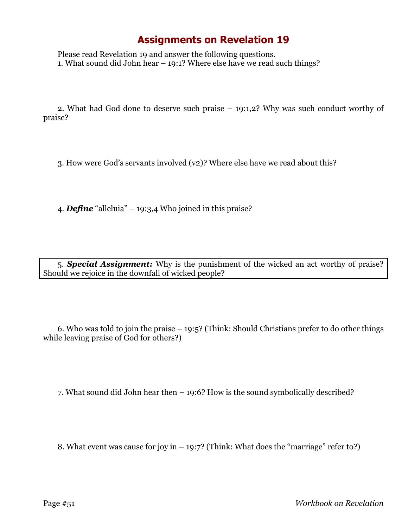Please read Revelation 19 and answer the following questions. 1. What sound did John hear – 19:1? Where else have we read such things?

2. What had God done to deserve such praise – 19:1,2? Why was such conduct worthy of praise?

3. How were God's servants involved (v2)? Where else have we read about this?

4. *Define* "alleluia" – 19:3,4 Who joined in this praise?

5. *Special Assignment:* Why is the punishment of the wicked an act worthy of praise? Should we rejoice in the downfall of wicked people?

6. Who was told to join the praise – 19:5? (Think: Should Christians prefer to do other things while leaving praise of God for others?)

7. What sound did John hear then – 19:6? How is the sound symbolically described?

8. What event was cause for joy in  $-$  19:7? (Think: What does the "marriage" refer to?)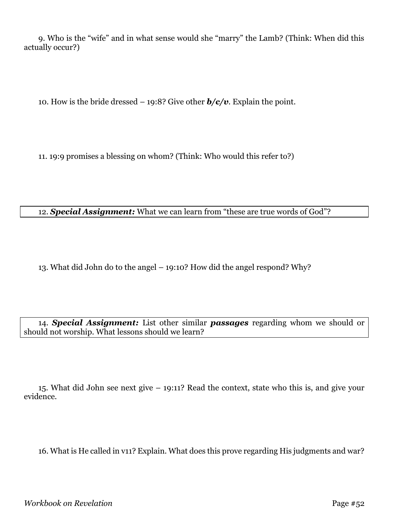9. Who is the "wife" and in what sense would she "marry" the Lamb? (Think: When did this actually occur?)

10. How is the bride dressed – 19:8? Give other *b/c/v*. Explain the point.

11. 19:9 promises a blessing on whom? (Think: Who would this refer to?)

#### 12. *Special Assignment:* What we can learn from "these are true words of God"?

13. What did John do to the angel – 19:10? How did the angel respond? Why?

14. *Special Assignment:* List other similar *passages* regarding whom we should or should not worship. What lessons should we learn?

15. What did John see next give – 19:11? Read the context, state who this is, and give your evidence.

16. What is He called in v11? Explain. What does this prove regarding His judgments and war?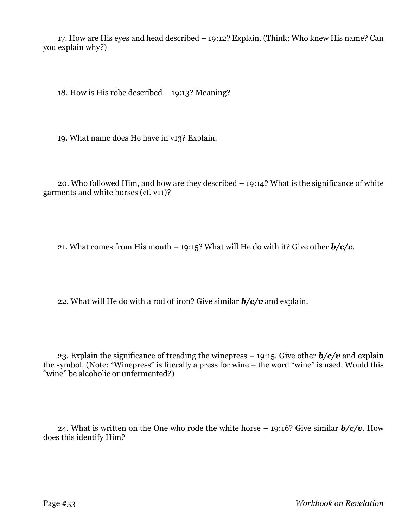17. How are His eyes and head described – 19:12? Explain. (Think: Who knew His name? Can you explain why?)

18. How is His robe described – 19:13? Meaning?

19. What name does He have in v13? Explain.

20. Who followed Him, and how are they described – 19:14? What is the significance of white garments and white horses (cf. v11)?

21. What comes from His mouth – 19:15? What will He do with it? Give other *b/c/v*.

22. What will He do with a rod of iron? Give similar *b/c/v* and explain.

23. Explain the significance of treading the winepress – 19:15. Give other *b/c/v* and explain the symbol. (Note: "Winepress" is literally a press for wine – the word "wine" is used. Would this "wine" be alcoholic or unfermented?)

24. What is written on the One who rode the white horse – 19:16? Give similar *b/c/v*. How does this identify Him?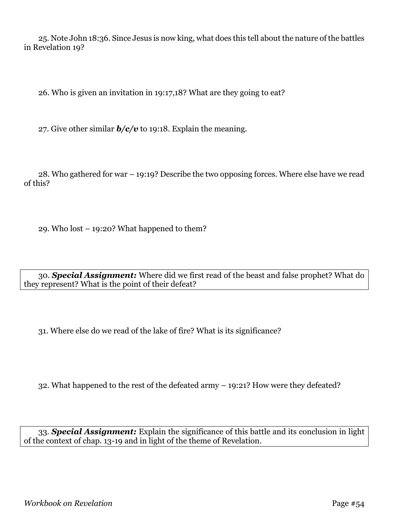25. Note John 18:36. Since Jesus is now king, what does this tell about the nature of the battles in Revelation 19?

26. Who is given an invitation in 19:17,18? What are they going to eat?

27. Give other similar  $b/c/v$  to 19:18. Explain the meaning.

28. Who gathered for war – 19:19? Describe the two opposing forces. Where else have we read of this?

29. Who lost – 19:20? What happened to them?

30. *Special Assignment:* Where did we first read of the beast and false prophet? What do they represent? What is the point of their defeat?

31. Where else do we read of the lake of fire? What is its significance?

32. What happened to the rest of the defeated army – 19:21? How were they defeated?

33. *Special Assignment:* Explain the significance of this battle and its conclusion in light of the context of chap. 13-19 and in light of the theme of Revelation.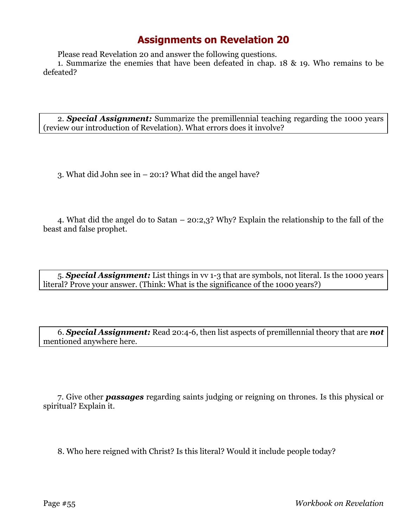Please read Revelation 20 and answer the following questions.

1. Summarize the enemies that have been defeated in chap. 18 & 19. Who remains to be defeated?

2. *Special Assignment:* Summarize the premillennial teaching regarding the 1000 years (review our introduction of Revelation). What errors does it involve?

3. What did John see in – 20:1? What did the angel have?

4. What did the angel do to Satan – 20:2,3? Why? Explain the relationship to the fall of the beast and false prophet.

5. *Special Assignment:* List things in vv 1-3 that are symbols, not literal. Is the 1000 years literal? Prove your answer. (Think: What is the significance of the 1000 years?)

6. *Special Assignment:* Read 20:4-6, then list aspects of premillennial theory that are *not* mentioned anywhere here.

7. Give other *passages* regarding saints judging or reigning on thrones. Is this physical or spiritual? Explain it.

8. Who here reigned with Christ? Is this literal? Would it include people today?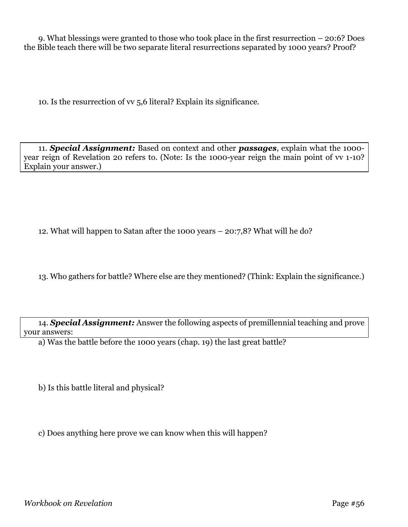9. What blessings were granted to those who took place in the first resurrection – 20:6? Does the Bible teach there will be two separate literal resurrections separated by 1000 years? Proof?

10. Is the resurrection of vv 5,6 literal? Explain its significance.

11. *Special Assignment:* Based on context and other *passages*, explain what the 1000 year reign of Revelation 20 refers to. (Note: Is the 1000-year reign the main point of vv 1-10? Explain your answer.)

12. What will happen to Satan after the 1000 years – 20:7,8? What will he do?

13. Who gathers for battle? Where else are they mentioned? (Think: Explain the significance.)

14. *Special Assignment:* Answer the following aspects of premillennial teaching and prove your answers:

a) Was the battle before the 1000 years (chap. 19) the last great battle?

b) Is this battle literal and physical?

c) Does anything here prove we can know when this will happen?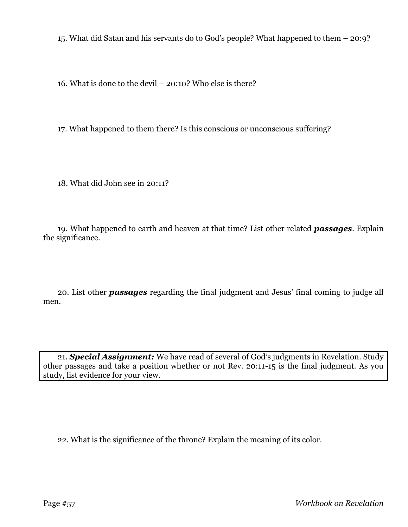15. What did Satan and his servants do to God's people? What happened to them – 20:9?

16. What is done to the devil – 20:10? Who else is there?

17. What happened to them there? Is this conscious or unconscious suffering?

18. What did John see in 20:11?

19. What happened to earth and heaven at that time? List other related *passages*. Explain the significance.

20. List other *passages* regarding the final judgment and Jesus' final coming to judge all men.

21. *Special Assignment:* We have read of several of God's judgments in Revelation. Study other passages and take a position whether or not Rev. 20:11-15 is the final judgment. As you study, list evidence for your view.

22. What is the significance of the throne? Explain the meaning of its color.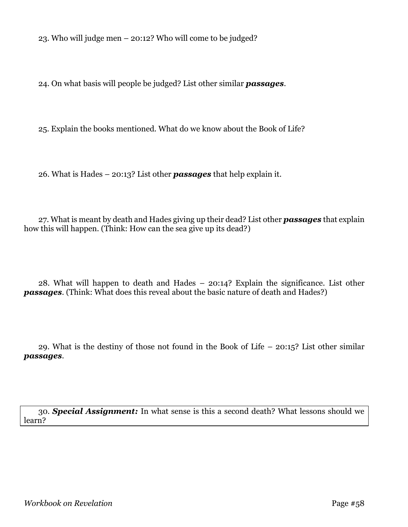23. Who will judge men – 20:12? Who will come to be judged?

24. On what basis will people be judged? List other similar *passages*.

25. Explain the books mentioned. What do we know about the Book of Life?

26. What is Hades – 20:13? List other *passages* that help explain it.

27. What is meant by death and Hades giving up their dead? List other *passages* that explain how this will happen. (Think: How can the sea give up its dead?)

28. What will happen to death and Hades – 20:14? Explain the significance. List other *passages*. (Think: What does this reveal about the basic nature of death and Hades?)

29. What is the destiny of those not found in the Book of Life – 20:15? List other similar *passages*.

30. *Special Assignment:* In what sense is this a second death? What lessons should we learn?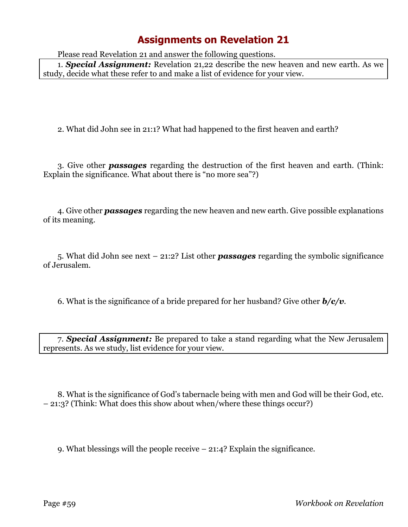Please read Revelation 21 and answer the following questions.

1. *Special Assignment:* Revelation 21,22 describe the new heaven and new earth. As we study, decide what these refer to and make a list of evidence for your view.

2. What did John see in 21:1? What had happened to the first heaven and earth?

3. Give other *passages* regarding the destruction of the first heaven and earth. (Think: Explain the significance. What about there is "no more sea"?)

4. Give other *passages* regarding the new heaven and new earth. Give possible explanations of its meaning.

5. What did John see next – 21:2? List other *passages* regarding the symbolic significance of Jerusalem.

6. What is the significance of a bride prepared for her husband? Give other *b/c/v*.

7. *Special Assignment:* Be prepared to take a stand regarding what the New Jerusalem represents. As we study, list evidence for your view.

8. What is the significance of God's tabernacle being with men and God will be their God, etc. – 21:3? (Think: What does this show about when/where these things occur?)

9. What blessings will the people receive – 21:4? Explain the significance.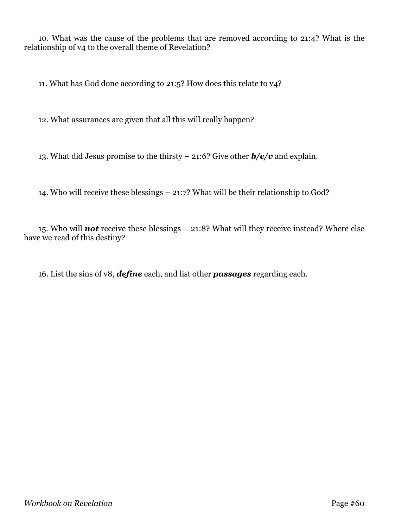10. What was the cause of the problems that are removed according to 21:4? What is the relationship of v4 to the overall theme of Revelation?

11. What has God done according to 21:5? How does this relate to v4?

12. What assurances are given that all this will really happen?

13. What did Jesus promise to the thirsty – 21:6? Give other *b/c/v* and explain.

14. Who will receive these blessings – 21:7? What will be their relationship to God?

15. Who will *not* receive these blessings – 21:8? What will they receive instead? Where else have we read of this destiny?

16. List the sins of v8, *define* each, and list other *passages* regarding each.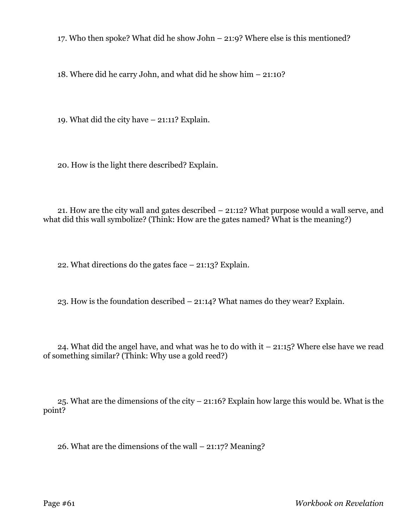17. Who then spoke? What did he show John – 21:9? Where else is this mentioned?

18. Where did he carry John, and what did he show him – 21:10?

19. What did the city have – 21:11? Explain.

20. How is the light there described? Explain.

21. How are the city wall and gates described – 21:12? What purpose would a wall serve, and what did this wall symbolize? (Think: How are the gates named? What is the meaning?)

22. What directions do the gates face – 21:13? Explain.

23. How is the foundation described – 21:14? What names do they wear? Explain.

24. What did the angel have, and what was he to do with it – 21:15? Where else have we read of something similar? (Think: Why use a gold reed?)

25. What are the dimensions of the city – 21:16? Explain how large this would be. What is the point?

26. What are the dimensions of the wall – 21:17? Meaning?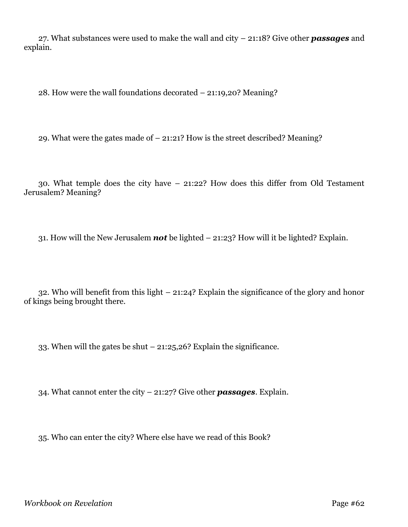27. What substances were used to make the wall and city – 21:18? Give other *passages* and explain.

28. How were the wall foundations decorated – 21:19,20? Meaning?

29. What were the gates made of – 21:21? How is the street described? Meaning?

30. What temple does the city have – 21:22? How does this differ from Old Testament Jerusalem? Meaning?

31. How will the New Jerusalem *not* be lighted – 21:23? How will it be lighted? Explain.

32. Who will benefit from this light – 21:24? Explain the significance of the glory and honor of kings being brought there.

33. When will the gates be shut  $-21:25,26$ ? Explain the significance.

34. What cannot enter the city – 21:27? Give other *passages*. Explain.

35. Who can enter the city? Where else have we read of this Book?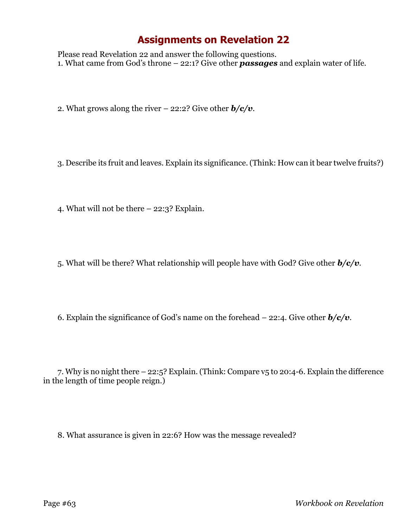Please read Revelation 22 and answer the following questions. 1. What came from God's throne – 22:1? Give other *passages* and explain water of life.

2. What grows along the river – 22:2? Give other *b/c/v*.

3. Describe its fruit and leaves. Explain its significance. (Think: How can it bear twelve fruits?)

4. What will not be there – 22:3? Explain.

5. What will be there? What relationship will people have with God? Give other *b/c/v*.

6. Explain the significance of God's name on the forehead  $-22:4$ . Give other  $b/c/v$ .

7. Why is no night there – 22:5? Explain. (Think: Compare v5 to 20:4-6. Explain the difference in the length of time people reign.)

8. What assurance is given in 22:6? How was the message revealed?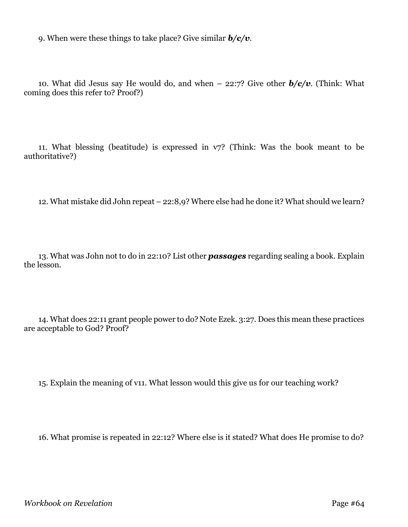9. When were these things to take place? Give similar *b/c/v*.

10. What did Jesus say He would do, and when – 22:7? Give other *b/c/v*. (Think: What coming does this refer to? Proof?)

11. What blessing (beatitude) is expressed in v7? (Think: Was the book meant to be authoritative?)

12. What mistake did John repeat – 22:8,9? Where else had he done it? What should we learn?

13. What was John not to do in 22:10? List other *passages* regarding sealing a book. Explain the lesson.

14. What does 22:11 grant people power to do? Note Ezek. 3:27. Does this mean these practices are acceptable to God? Proof?

15. Explain the meaning of v11. What lesson would this give us for our teaching work?

16. What promise is repeated in 22:12? Where else is it stated? What does He promise to do?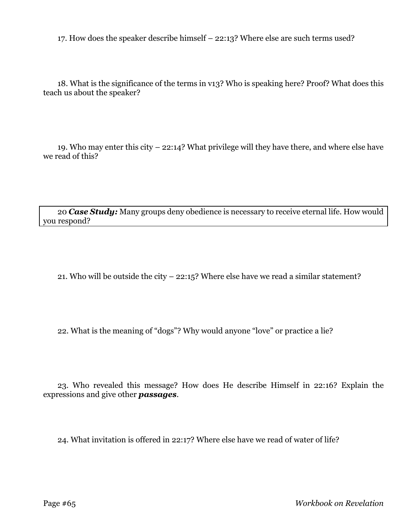17. How does the speaker describe himself – 22:13? Where else are such terms used?

18. What is the significance of the terms in v13? Who is speaking here? Proof? What does this teach us about the speaker?

19. Who may enter this city – 22:14? What privilege will they have there, and where else have we read of this?

20 *Case Study:* Many groups deny obedience is necessary to receive eternal life. How would you respond?

21. Who will be outside the city – 22:15? Where else have we read a similar statement?

22. What is the meaning of "dogs"? Why would anyone "love" or practice a lie?

23. Who revealed this message? How does He describe Himself in 22:16? Explain the expressions and give other *passages*.

24. What invitation is offered in 22:17? Where else have we read of water of life?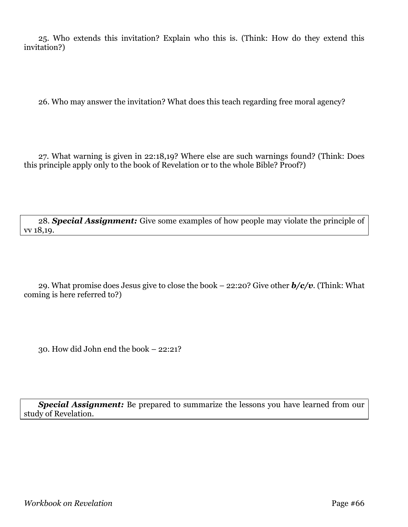25. Who extends this invitation? Explain who this is. (Think: How do they extend this invitation?)

26. Who may answer the invitation? What does this teach regarding free moral agency?

27. What warning is given in 22:18,19? Where else are such warnings found? (Think: Does this principle apply only to the book of Revelation or to the whole Bible? Proof?)

28. *Special Assignment:* Give some examples of how people may violate the principle of vv 18,19.

29. What promise does Jesus give to close the book – 22:20? Give other *b/c/v*. (Think: What coming is here referred to?)

30. How did John end the book – 22:21?

**Special Assignment:** Be prepared to summarize the lessons you have learned from our study of Revelation.